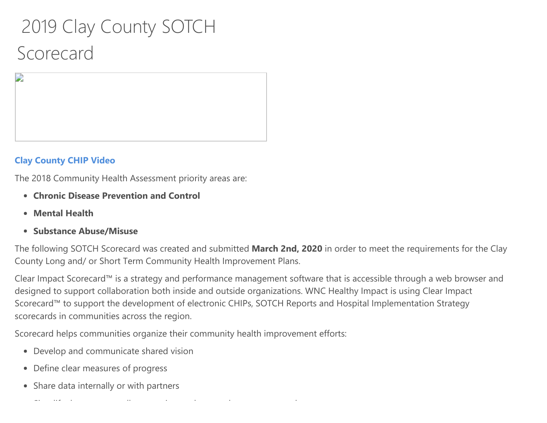## 2019 Clay County SOTCH Scorecard

## Clay County CHIP Video

D

The 2018 [Community](https://video214.com/play/TuBoWkz7G6NNA4lVFWHvuQ/s/dark) Health Assessment priority areas are:

- Chronic Disease Prevention and Control
- Mental Health
- Substance Abuse/Misuse

The following SOTCH Scorecard was created and submitted March 2nd, 2020 in order to meet the requirements for the Clay County Long and/ or Short Term Community Health Improvement Plans.

Clear Impact Scorecard™ is a strategy and performance management software that is accessible through a web browser and designed to support collaboration both inside and outside organizations. WNC Healthy Impact is using Clear Impact Scorecard™ to support the development of electronic CHIPs, SOTCH Reports and Hospital Implementation Strategy scorecards in communities across the region.

Scorecard helps communities organize their community health improvement efforts:

- Develop and communicate shared vision
- Define clear measures of progress
- Share data internally or with partners

Si lif h ll i d'alta de l'alta de l'alta de l'alta de l'alta de l'alta de l'alta de l'alta de l'alta de l'alta<br>Si lif h ll i de l'alta de l'alta de l'alta de l'alta de l'alta de l'alta de l'alta de l'alta de l'alta de l'a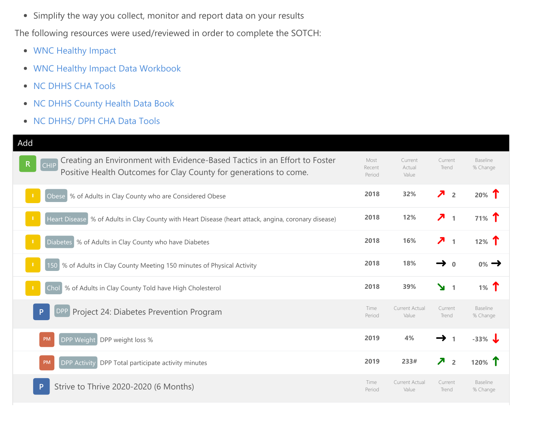Simplify the way you collect, monitor and report data on your results

The following resources were used/reviewed in order to complete the SOTCH:

- WNC Healthy Impact
- WNC Healthy Impact Data Workbook
- NC DHHS CHA Tools
- NC DHHS [County](http://www.wnchealthyimpact.com/) Health Data Book
- NC [DHHS/](https://www.wnchn.org/wnc-healthy-impact/regional-data/) DPH CHA Data Tools

| Add                                                                                                                                                                            |                          |                            |                                            |                      |
|--------------------------------------------------------------------------------------------------------------------------------------------------------------------------------|--------------------------|----------------------------|--------------------------------------------|----------------------|
| Creating an Environment with Evidence-Based Tactics in an Effort to Foster<br>$\mathsf{R}$<br><b>CHIP</b><br>Positive Health Outcomes for Clay County for generations to come. | Most<br>Recent<br>Period | Current<br>Actual<br>Value | Current<br>Trend                           | Baseline<br>% Change |
| Obese % of Adults in Clay County who are Considered Obese                                                                                                                      | 2018                     | 32%                        | $\overline{\phantom{a}}$<br>$\overline{2}$ | 20% T                |
| Heart Disease % of Adults in Clay County with Heart Disease (heart attack, angina, coronary disease)                                                                           | 2018                     | 12%                        | 7 <sub>1</sub>                             | $71\%$ T             |
| Diabetes % of Adults in Clay County who have Diabetes                                                                                                                          | 2018                     | 16%                        | Л<br>$\mathbf{1}$                          | 12% $\mathbf T$      |
| % of Adults in Clay County Meeting 150 minutes of Physical Activity<br>150                                                                                                     | 2018                     | 18%                        | $\bf{0}$                                   | $0\% \rightarrow$    |
| Chol % of Adults in Clay County Told have High Cholesterol                                                                                                                     | 2018                     | 39%                        | $\mathbf{y}$ 1                             | 1% $\Upsilon$        |
| Project 24: Diabetes Prevention Program<br>DPP                                                                                                                                 | Time<br>Period           | Current Actual<br>Value    | Current<br>Trend                           | Baseline<br>% Change |
| DPP Weight<br>PM<br>DPP weight loss %                                                                                                                                          | 2019                     | 4%                         | $\rightarrow$<br>$\mathbf{1}$              | $-33%$               |
| DPP Activity DPP Total participate activity minutes<br>PM                                                                                                                      | 2019                     | 233#                       | $\overline{\phantom{a}}$<br>$\overline{2}$ | 120% T               |
| Strive to Thrive 2020-2020 (6 Months)                                                                                                                                          | Time<br>Period           | Current Actual<br>Value    | Current<br>Trend                           | Baseline<br>% Change |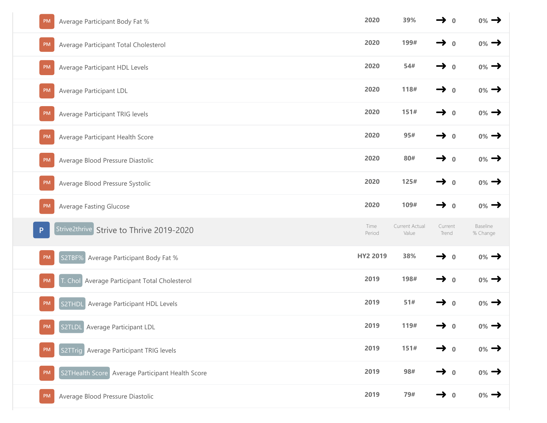| Average Participant Body Fat %<br><b>PM</b>            | 2020           | 39%                     | $\rightarrow$ 0            | $0\% \rightarrow$    |
|--------------------------------------------------------|----------------|-------------------------|----------------------------|----------------------|
| Average Participant Total Cholesterol<br><b>PM</b>     | 2020           | 199#                    | $\rightarrow$ 0            | $0\% \rightarrow$    |
| Average Participant HDL Levels<br><b>PM</b>            | 2020           | 54#                     | $\rightarrow$<br>$\bf 0$   | $0\% \rightarrow$    |
| Average Participant LDL<br><b>PM</b>                   | 2020           | 118#                    | $\rightarrow$<br>$\bf{0}$  | $0\% \rightarrow$    |
| <b>PM</b><br>Average Participant TRIG levels           | 2020           | 151#                    | $\rightarrow$<br>$\bf{0}$  | $0\% \rightarrow$    |
| Average Participant Health Score<br><b>PM</b>          | 2020           | 95#                     | $\rightarrow$<br>$\bf{0}$  | $0\% \rightarrow$    |
| Average Blood Pressure Diastolic<br>PM                 | 2020           | 80#                     | $\rightarrow$<br>$\pmb{0}$ | $0\% \rightarrow$    |
| Average Blood Pressure Systolic<br><b>PM</b>           | 2020           | 125#                    | $\rightarrow$ 0            | $0\% \rightarrow$    |
| <b>Average Fasting Glucose</b><br><b>PM</b>            | 2020           | 109#                    | $\rightarrow$ 0            | $0\% \rightarrow$    |
|                                                        |                |                         |                            |                      |
| Strive2thrive Strive to Thrive 2019-2020<br>P          | Time<br>Period | Current Actual<br>Value | Current<br>Trend           | Baseline<br>% Change |
| Average Participant Body Fat %<br><b>PM</b><br>S2TBF%  | HY2 2019       | 38%                     | $\rightarrow$ 0            | $0\% \rightarrow$    |
| . Chol Average Participant Total Cholesterol<br>PM     | 2019           | 198#                    | $\rightarrow$<br>$\bf{0}$  | $0\% \rightarrow$    |
| S2THDL Average Participant HDL Levels<br><b>PM</b>     | 2019           | 51#                     | $\rightarrow$ 0            | $0\% \rightarrow$    |
| S2TLDL Average Participant LDL<br><b>PM</b>            | 2019           | 119#                    | $\rightarrow$ 0            | $0\%$ $\rightarrow$  |
| S2TTrig Average Participant TRIG levels<br><b>PM</b>   | 2019           | 151#                    | $\rightarrow$ 0            | $0\%$ $\rightarrow$  |
| S2THealth Score Average Participant Health Score<br>PM | 2019           | 98#                     | $\rightarrow$ 0            | $0\% \rightarrow$    |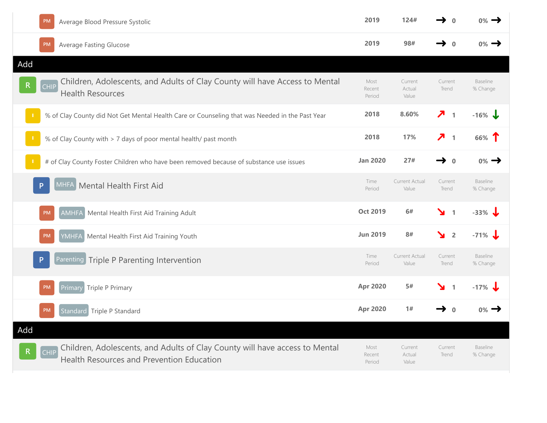| PM<br>Average Blood Pressure Systolic                                                                                            | 2019                     | 124#                       | $\Omega$                                 | $_{0\%} \rightarrow$ |
|----------------------------------------------------------------------------------------------------------------------------------|--------------------------|----------------------------|------------------------------------------|----------------------|
| <b>Average Fasting Glucose</b><br><b>PM</b>                                                                                      | 2019                     | 98#                        | $\rightarrow$<br>$\bf{0}$                | $0\% \rightarrow$    |
| Add                                                                                                                              |                          |                            |                                          |                      |
| Children, Adolescents, and Adults of Clay County will have Access to Mental<br><b>CHIP</b><br><b>Health Resources</b>            | Most<br>Recent<br>Period | Current<br>Actual<br>Value | Current<br>Trend                         | Baseline<br>% Change |
| % of Clay County did Not Get Mental Health Care or Counseling that was Needed in the Past Year                                   | 2018                     | 8.60%                      | $\overline{\phantom{a}}$<br>$\mathbf{1}$ | $-16\%$              |
| % of Clay County with > 7 days of poor mental health/ past month                                                                 | 2018                     | 17%                        | $\overline{\phantom{a}}$<br>$\mathbf{1}$ | 66% T                |
| # of Clay County Foster Children who have been removed because of substance use issues                                           | <b>Jan 2020</b>          | 27#                        | $\rightarrow$<br>$\bf{0}$                | $0\% \rightarrow$    |
| Mental Health First Aid<br>MHFA<br>P                                                                                             | Time<br>Period           | Current Actual<br>Value    | Current<br>Trend                         | Baseline<br>% Change |
| AMHFA Mental Health First Aid Training Adult<br>PM                                                                               | <b>Oct 2019</b>          | 6#                         | ¥<br>$\mathbf{1}$                        | $-33%$               |
| Mental Health First Aid Training Youth<br><b>YMHFA</b><br><b>PM</b>                                                              | <b>Jun 2019</b>          | 8#                         | $\frac{1}{2}$                            | $-71\%$              |
| Parenting Triple P Parenting Intervention                                                                                        | Time<br>Period           | Current Actual<br>Value    | Current<br>Trend                         | Baseline<br>% Change |
| Primary Triple P Primary<br>PM                                                                                                   | <b>Apr 2020</b>          | 5#                         | ¥<br>$\overline{1}$                      | $-17\%$              |
| Standard Triple P Standard<br><b>PM</b>                                                                                          | <b>Apr 2020</b>          | 1#                         | $\rightarrow$<br>$\bf{0}$                | $0\%$ $\rightarrow$  |
| Add                                                                                                                              |                          |                            |                                          |                      |
| Children, Adolescents, and Adults of Clay County will have access to Mental<br>CHIP<br>Health Resources and Prevention Education | Most<br>Recent<br>Period | Current<br>Actual<br>Value | Current<br>Trend                         | Baseline<br>% Change |
|                                                                                                                                  |                          |                            |                                          |                      |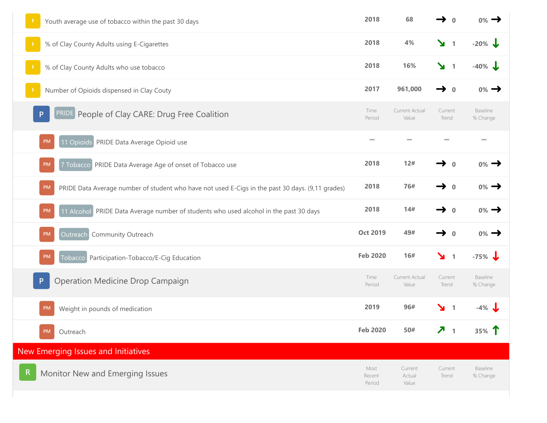| Youth average use of tobacco within the past 30 days                                                          | 2018                     | 68                         | $\mathbf{0}$                  | $0\% \rightarrow$           |
|---------------------------------------------------------------------------------------------------------------|--------------------------|----------------------------|-------------------------------|-----------------------------|
| % of Clay County Adults using E-Cigarettes                                                                    | 2018                     | 4%                         | $\mathbf{y}$ 1                | $-20\%$                     |
| % of Clay County Adults who use tobacco                                                                       | 2018                     | 16%                        | $\mathbf{v}$ 1                | $-40\%$ J                   |
| Number of Opioids dispensed in Clay Couty                                                                     | 2017                     | 961,000                    | $\rightarrow$ 0               | $0\% \rightarrow$           |
| <b>PRIDE</b> People of Clay CARE: Drug Free Coalition<br>P                                                    | Time<br>Period           | Current Actual<br>Value    | Current<br>Trend              | <b>Baseline</b><br>% Change |
| 11 Opioids PRIDE Data Average Opioid use<br><b>PM</b>                                                         | $\sim$                   |                            |                               | $\overline{\phantom{a}}$    |
| 7 Tobacco PRIDE Data Average Age of onset of Tobacco use<br>PM                                                | 2018                     | 12#                        | $\mathbf{0}$                  | $0\% \rightarrow$           |
| <b>PM</b><br>PRIDE Data Average number of student who have not used E-Cigs in the past 30 days. (9,11 grades) | 2018                     | 76#                        | $\rightarrow$ 0               | $0\% \rightarrow$           |
| 11 Alcohol PRIDE Data Average number of students who used alcohol in the past 30 days<br>PM                   | 2018                     | 14#                        | $\rightarrow$ 0               | $0\% \rightarrow$           |
| Community Outreach<br><b>Outreach</b><br><b>PM</b>                                                            | <b>Oct 2019</b>          | 49#                        | $\rightarrow$<br>$\mathbf{0}$ | $0\% \rightarrow$           |
| Tobacco Participation-Tobacco/E-Cig Education<br><b>PM</b>                                                    | <b>Feb 2020</b>          | 16#                        | $\mathbf{v}$ 1                | $-75\%$                     |
| Operation Medicine Drop Campaign                                                                              | Time<br>Period           | Current Actual<br>Value    | Current<br>Trend              | Baseline<br>% Change        |
| <b>PM</b><br>Weight in pounds of medication                                                                   | 2019                     | 96#                        | $\mathbf{y}$ 1                | $-4\%$                      |
| <b>PM</b><br>Outreach                                                                                         | <b>Feb 2020</b>          | 50#                        | 7 <sub>1</sub>                | 35% T                       |
| New Emerging Issues and Initiatives                                                                           |                          |                            |                               |                             |
| Monitor New and Emerging Issues                                                                               | Most<br>Recent<br>Period | Current<br>Actual<br>Value | Current<br>Trend              | Baseline<br>% Change        |